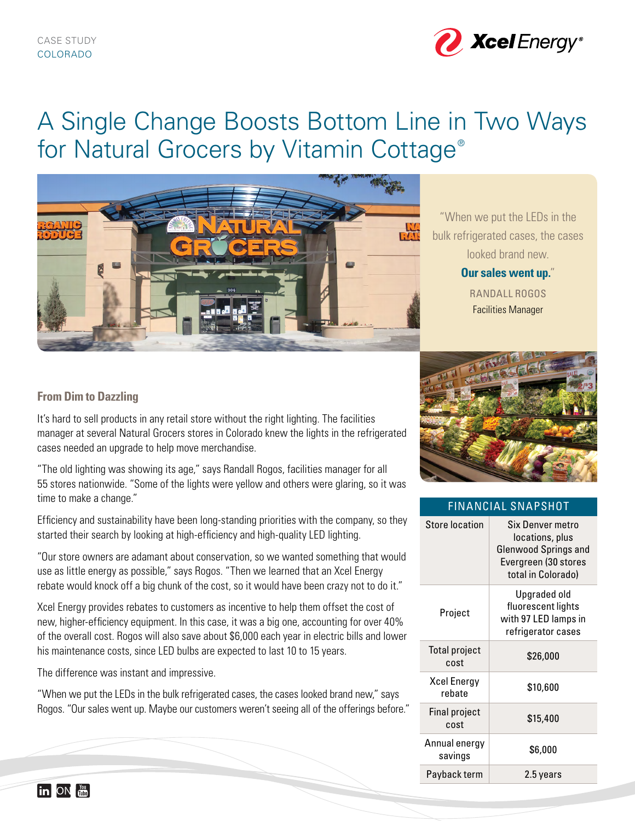

# A Single Change Boosts Bottom Line in Two Ways for Natural Grocers by Vitamin Cottage<sup>®</sup>



"When we put the LEDs in the bulk refrigerated cases, the cases looked brand new.

> **Our sales went up.**" RANDALL ROGOS Facilities Manager

# **From Dim to Dazzling**

It's hard to sell products in any retail store without the right lighting. The facilities manager at several Natural Grocers stores in Colorado knew the lights in the refrigerated cases needed an upgrade to help move merchandise.

"The old lighting was showing its age," says Randall Rogos, facilities manager for all 55 stores nationwide. "Some of the lights were yellow and others were glaring, so it was time to make a change."

Efficiency and sustainability have been long-standing priorities with the company, so they started their search by looking at high-efficiency and high-quality LED lighting.

"Our store owners are adamant about conservation, so we wanted something that would use as little energy as possible," says Rogos. "Then we learned that an Xcel Energy rebate would knock off a big chunk of the cost, so it would have been crazy not to do it."

Xcel Energy provides rebates to customers as incentive to help them offset the cost of new, higher-efficiency equipment. In this case, it was a big one, accounting for over 40% of the overall cost. Rogos will also save about \$6,000 each year in electric bills and lower his maintenance costs, since LED bulbs are expected to last 10 to 15 years.

The difference was instant and impressive.

"When we put the LEDs in the bulk refrigerated cases, the cases looked brand new," says Rogos. "Our sales went up. Maybe our customers weren't seeing all of the offerings before."



# FINANCIAL SNAPSHOT

| <b>Store location</b>        | Six Denver metro<br>locations, plus<br><b>Glenwood Springs and</b><br>Evergreen (30 stores<br>total in Colorado) |
|------------------------------|------------------------------------------------------------------------------------------------------------------|
| Project                      | Upgraded old<br>fluorescent lights<br>with 97 LED lamps in<br>refrigerator cases                                 |
| <b>Total project</b><br>cost | \$26,000                                                                                                         |
| Xcel Energy<br>rebate        | \$10,600                                                                                                         |
| <b>Final project</b><br>cost | \$15,400                                                                                                         |
| Annual energy<br>savings     | \$6,000                                                                                                          |
| Payback term                 | 2.5 years                                                                                                        |

**in** ON  $\frac{80}{1000}$